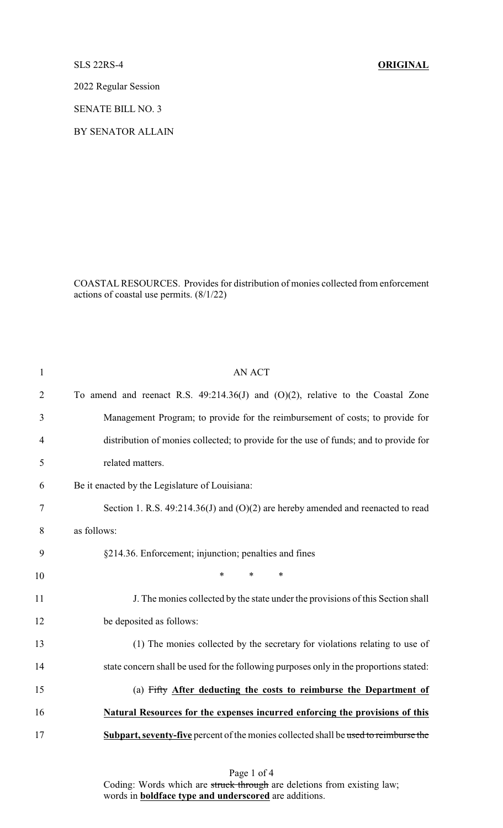## SLS 22RS-4 **ORIGINAL**

2022 Regular Session

SENATE BILL NO. 3

BY SENATOR ALLAIN

COASTALRESOURCES. Provides for distribution of monies collected from enforcement actions of coastal use permits. (8/1/22)

| $\mathbf{1}$   | <b>AN ACT</b>                                                                          |
|----------------|----------------------------------------------------------------------------------------|
| $\overline{2}$ | To amend and reenact R.S. $49:214.36(J)$ and $(O)(2)$ , relative to the Coastal Zone   |
| 3              | Management Program; to provide for the reimbursement of costs; to provide for          |
| 4              | distribution of monies collected; to provide for the use of funds; and to provide for  |
| 5              | related matters.                                                                       |
| 6              | Be it enacted by the Legislature of Louisiana:                                         |
| 7              | Section 1. R.S. $49:214.36(J)$ and $(O)(2)$ are hereby amended and reenacted to read   |
| 8              | as follows:                                                                            |
| 9              | §214.36. Enforcement; injunction; penalties and fines                                  |
| 10             | $\ast$<br>$\ast$<br>$\ast$                                                             |
| 11             | J. The monies collected by the state under the provisions of this Section shall        |
| 12             | be deposited as follows:                                                               |
| 13             | (1) The monies collected by the secretary for violations relating to use of            |
| 14             | state concern shall be used for the following purposes only in the proportions stated: |
| 15             | (a) Fifty After deducting the costs to reimburse the Department of                     |
| 16             | Natural Resources for the expenses incurred enforcing the provisions of this           |
| 17             | Subpart, seventy-five percent of the monies collected shall be used to reimburse the   |
|                |                                                                                        |

Page 1 of 4 Coding: Words which are struck through are deletions from existing law; words in **boldface type and underscored** are additions.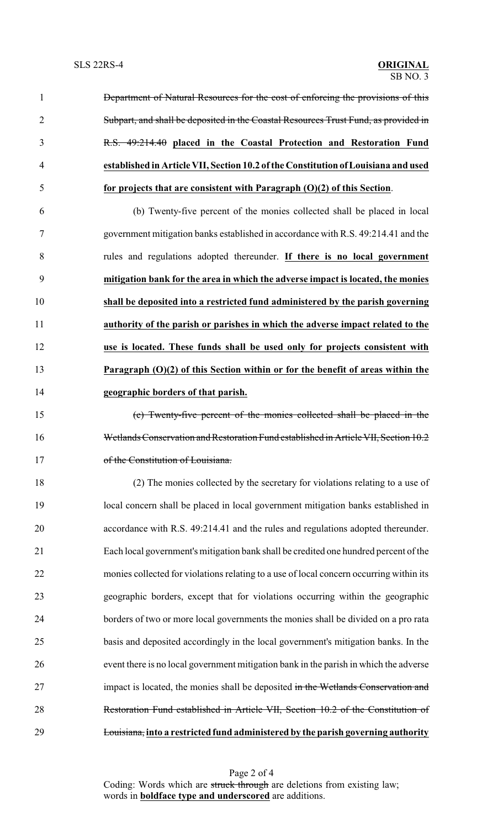| $\mathbf{1}$   | <b>Department of Natural Resources for the cost of enforcing the provisions of this</b> |
|----------------|-----------------------------------------------------------------------------------------|
| 2              | Subpart, and shall be deposited in the Coastal Resources Trust Fund, as provided in     |
| $\overline{3}$ | R.S. 49:214.40 placed in the Coastal Protection and Restoration Fund                    |
| $\overline{4}$ | established in Article VII, Section 10.2 of the Constitution of Louisiana and used      |
| 5              | for projects that are consistent with Paragraph $(0)(2)$ of this Section.               |
| 6              | (b) Twenty-five percent of the monies collected shall be placed in local                |
| 7              | government mitigation banks established in accordance with R.S. 49:214.41 and the       |
| 8              | rules and regulations adopted thereunder. If there is no local government               |
| 9              | mitigation bank for the area in which the adverse impact is located, the monies         |
| 10             | shall be deposited into a restricted fund administered by the parish governing          |

**authority of the parish or parishes in which the adverse impact related to the**

**use is located. These funds shall be used only for projects consistent with**

**Paragraph (O)(2) of this Section within or for the benefit of areas within the**

 **geographic borders of that parish.** (c) Twenty-five percent of the monies collected shall be placed in the Wetlands Conservation and Restoration Fund established in Article VII, Section 10.2 17 of the Constitution of Louisiana.

 (2) The monies collected by the secretary for violations relating to a use of local concern shall be placed in local government mitigation banks established in accordance with R.S. 49:214.41 and the rules and regulations adopted thereunder. Each local government's mitigation bank shall be credited one hundred percent of the monies collected for violations relating to a use of local concern occurring within its geographic borders, except that for violations occurring within the geographic borders of two or more local governments the monies shall be divided on a pro rata basis and deposited accordingly in the local government's mitigation banks. In the event there is no local government mitigation bank in the parish in which the adverse 27 impact is located, the monies shall be deposited in the Wetlands Conservation and Restoration Fund established in Article VII, Section 10.2 of the Constitution of Louisiana, **into a restricted fund administered by the parish governing authority**

Page 2 of 4 Coding: Words which are struck through are deletions from existing law; words in **boldface type and underscored** are additions.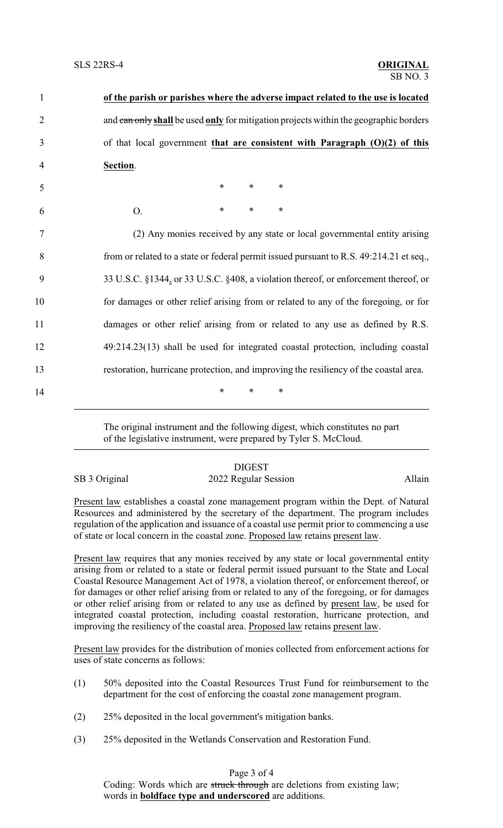| $\mathbf{1}$   | of the parish or parishes where the adverse impact related to the use is located        |
|----------------|-----------------------------------------------------------------------------------------|
| $\overline{2}$ | and can only shall be used only for mitigation projects within the geographic borders   |
| 3              | of that local government that are consistent with Paragraph $(O)(2)$ of this            |
| $\overline{4}$ | Section.                                                                                |
| 5              | $\ast$<br>$*$<br>$\ast$                                                                 |
| 6              | $\ast$<br>$\ast$<br>∗<br>O.                                                             |
| 7              | (2) Any monies received by any state or local governmental entity arising               |
| 8              | from or related to a state or federal permit issued pursuant to R.S. 49:214.21 et seq., |
| 9              | 33 U.S.C. §1344, or 33 U.S.C. §408, a violation thereof, or enforcement thereof, or     |
| 10             | for damages or other relief arising from or related to any of the foregoing, or for     |
| 11             | damages or other relief arising from or related to any use as defined by R.S.           |
| 12             | 49:214.23(13) shall be used for integrated coastal protection, including coastal        |
| 13             | restoration, hurricane protection, and improving the resiliency of the coastal area.    |
| 14             | $\ast$<br>*<br>*                                                                        |

The original instrument and the following digest, which constitutes no part of the legislative instrument, were prepared by Tyler S. McCloud.

## **DIGEST**

SB 3 Original 2022 Regular Session Allain

Present law establishes a coastal zone management program within the Dept. of Natural Resources and administered by the secretary of the department. The program includes regulation of the application and issuance of a coastal use permit prior to commencing a use of state or local concern in the coastal zone. Proposed law retains present law.

Present law requires that any monies received by any state or local governmental entity arising from or related to a state or federal permit issued pursuant to the State and Local Coastal Resource Management Act of 1978, a violation thereof, or enforcement thereof, or for damages or other relief arising from or related to any of the foregoing, or for damages or other relief arising from or related to any use as defined by present law, be used for integrated coastal protection, including coastal restoration, hurricane protection, and improving the resiliency of the coastal area. Proposed law retains present law.

Present law provides for the distribution of monies collected from enforcement actions for uses of state concerns as follows:

- (1) 50% deposited into the Coastal Resources Trust Fund for reimbursement to the department for the cost of enforcing the coastal zone management program.
- (2) 25% deposited in the local government's mitigation banks.
- (3) 25% deposited in the Wetlands Conservation and Restoration Fund.

Page 3 of 4

Coding: Words which are struck through are deletions from existing law; words in **boldface type and underscored** are additions.